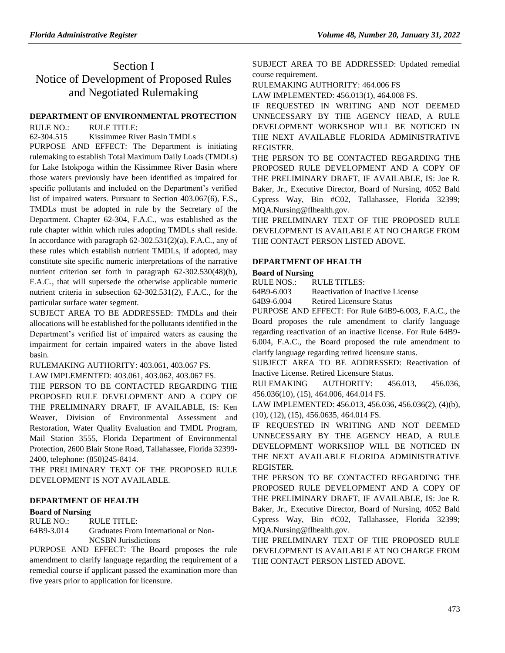# Section I Notice of Development of Proposed Rules and Negotiated Rulemaking

### **[DEPARTMENT OF ENVIRONMENTAL PROTECTION](https://www.flrules.org/gateway/department.asp?id=62)**

RULE NO.: RULE TITLE:

[62-304.515](https://www.flrules.org/gateway/ruleNo.asp?id=62-304.515) Kissimmee River Basin TMDLs

PURPOSE AND EFFECT: The Department is initiating rulemaking to establish Total Maximum Daily Loads (TMDLs) for Lake Istokpoga within the Kissimmee River Basin where those waters previously have been identified as impaired for specific pollutants and included on the Department's verified list of impaired waters. Pursuant to Section 403.067(6), F.S., TMDLs must be adopted in rule by the Secretary of the Department. Chapter 62-304, F.A.C., was established as the rule chapter within which rules adopting TMDLs shall reside. In accordance with paragraph 62-302.531(2)(a), F.A.C., any of these rules which establish nutrient TMDLs, if adopted, may constitute site specific numeric interpretations of the narrative nutrient criterion set forth in paragraph 62-302.530(48)(b), F.A.C., that will supersede the otherwise applicable numeric nutrient criteria in subsection 62-302.531(2), F.A.C., for the particular surface water segment.

SUBJECT AREA TO BE ADDRESSED: TMDLs and their allocations will be established for the pollutants identified in the Department's verified list of impaired waters as causing the impairment for certain impaired waters in the above listed basin.

RULEMAKING AUTHORITY: [403.061,](https://www.flrules.org/gateway/statute.asp?id=403.061) [403.067 FS.](https://www.flrules.org/gateway/statute.asp?id=%20403.067%20FS.)

LAW IMPLEMENTED: [403.061,](https://www.flrules.org/gateway/statute.asp?id=403.061) [403.062,](https://www.flrules.org/gateway/statute.asp?id=%20403.062) [403.067 FS.](https://www.flrules.org/gateway/statute.asp?id=%20403.067%20FS.)

THE PERSON TO BE CONTACTED REGARDING THE PROPOSED RULE DEVELOPMENT AND A COPY OF THE PRELIMINARY DRAFT, IF AVAILABLE, IS: Ken Weaver, Division of Environmental Assessment and Restoration, Water Quality Evaluation and TMDL Program, Mail Station 3555, Florida Department of Environmental Protection, 2600 Blair Stone Road, Tallahassee, Florida 32399- 2400, telephone: (850)245-8414.

THE PRELIMINARY TEXT OF THE PROPOSED RULE DEVELOPMENT IS NOT AVAILABLE.

### **[DEPARTMENT OF HEALTH](https://www.flrules.org/gateway/department.asp?id=64)**

### **[Board of Nursing](https://www.flrules.org/gateway/organization.asp?id=332)**

RULE NO.: RULE TITLE:

[64B9-3.014](https://www.flrules.org/gateway/ruleNo.asp?id=64B9-3.014) Graduates From International or Non-NCSBN Jurisdictions

PURPOSE AND EFFECT: The Board proposes the rule amendment to clarify language regarding the requirement of a remedial course if applicant passed the examination more than five years prior to application for licensure.

SUBJECT AREA TO BE ADDRESSED: Updated remedial course requirement.

RULEMAKING AUTHORITY: [464.006 FS](https://www.flrules.org/gateway/cfr.asp?id=464.006%20FS)

LAW IMPLEMENTED: [456.013\(1\),](https://www.flrules.org/gateway/statute.asp?id=456.013(1)) [464.008 FS.](https://www.flrules.org/gateway/statute.asp?id=%20464.008%20FS.)

IF REQUESTED IN WRITING AND NOT DEEMED UNNECESSARY BY THE AGENCY HEAD, A RULE DEVELOPMENT WORKSHOP WILL BE NOTICED IN THE NEXT AVAILABLE FLORIDA ADMINISTRATIVE REGISTER.

THE PERSON TO BE CONTACTED REGARDING THE PROPOSED RULE DEVELOPMENT AND A COPY OF THE PRELIMINARY DRAFT, IF AVAILABLE, IS: Joe R. Baker, Jr., Executive Director, Board of Nursing, 4052 Bald Cypress Way, Bin #C02, Tallahassee, Florida 32399; MQA.Nursing@flhealth.gov.

THE PRELIMINARY TEXT OF THE PROPOSED RULE DEVELOPMENT IS AVAILABLE AT NO CHARGE FROM THE CONTACT PERSON LISTED ABOVE.

### **[DEPARTMENT OF HEALTH](https://www.flrules.org/gateway/department.asp?id=64)**

#### **[Board of Nursing](https://www.flrules.org/gateway/organization.asp?id=332)**

RULE NOS.: RULE TITLES:

[64B9-6.003](https://www.flrules.org/gateway/ruleNo.asp?id=64B9-6.003) Reactivation of Inactive License

[64B9-6.004](https://www.flrules.org/gateway/ruleNo.asp?id=64B9-6.004) Retired Licensure Status

PURPOSE AND EFFECT: For Rule 64B9-6.003, F.A.C., the Board proposes the rule amendment to clarify language regarding reactivation of an inactive license. For Rule 64B9- 6.004, F.A.C., the Board proposed the rule amendment to clarify language regarding retired licensure status.

SUBJECT AREA TO BE ADDRESSED: Reactivation of Inactive License. Retired Licensure Status.

RULEMAKING AUTHORITY: [456.013,](https://www.flrules.org/gateway/statute.asp?id=456.013) [456.036,](https://www.flrules.org/gateway/statute.asp?id=%20456.036) [456.036\(10\),](https://www.flrules.org/gateway/statute.asp?id=%20456.036(10)) (15), [464.006,](https://www.flrules.org/gateway/statute.asp?id=%20464.006) [464.014 FS.](https://www.flrules.org/gateway/statute.asp?id=%20464.014%20FS.)

LAW IMPLEMENTED: [456.013,](https://www.flrules.org/gateway/statute.asp?id=456.013) [456.036,](https://www.flrules.org/gateway/statute.asp?id=%20456.036) [456.036\(2\),](https://www.flrules.org/gateway/statute.asp?id=%20456.036(2)) (4)(b), (10), (12), (15), [456.0635,](https://www.flrules.org/gateway/statute.asp?id=%20456.0635) [464.014 FS.](https://www.flrules.org/gateway/statute.asp?id=%20464.014%20FS.)

IF REQUESTED IN WRITING AND NOT DEEMED UNNECESSARY BY THE AGENCY HEAD, A RULE DEVELOPMENT WORKSHOP WILL BE NOTICED IN THE NEXT AVAILABLE FLORIDA ADMINISTRATIVE REGISTER.

THE PERSON TO BE CONTACTED REGARDING THE PROPOSED RULE DEVELOPMENT AND A COPY OF THE PRELIMINARY DRAFT, IF AVAILABLE, IS: Joe R. Baker, Jr., Executive Director, Board of Nursing, 4052 Bald Cypress Way, Bin #C02, Tallahassee, Florida 32399; MQA.Nursing@flhealth.gov.

THE PRELIMINARY TEXT OF THE PROPOSED RULE DEVELOPMENT IS AVAILABLE AT NO CHARGE FROM THE CONTACT PERSON LISTED ABOVE.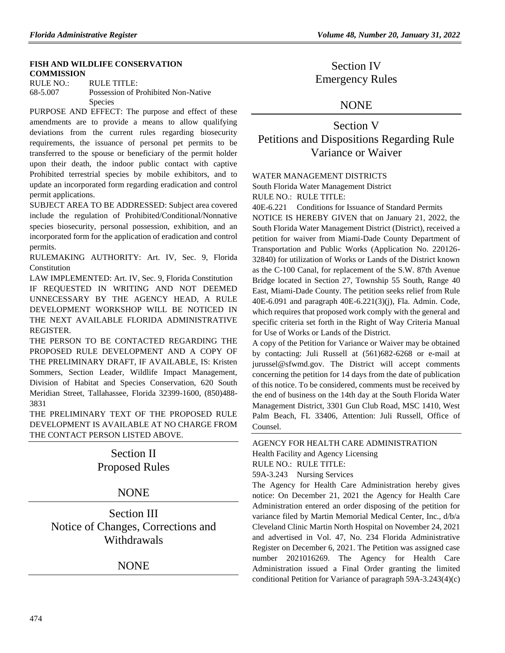### **[FISH AND WILDLIFE CONSERVATION](https://www.flrules.org/gateway/department.asp?id=68)  [COMMISSION](https://www.flrules.org/gateway/department.asp?id=68)**

RULE NO.: RULE TITLE: [68-5.007](https://www.flrules.org/gateway/ruleNo.asp?id=68-5.007) Possession of Prohibited Non-Native **Species** 

PURPOSE AND EFFECT: The purpose and effect of these amendments are to provide a means to allow qualifying deviations from the current rules regarding biosecurity requirements, the issuance of personal pet permits to be transferred to the spouse or beneficiary of the permit holder upon their death, the indoor public contact with captive Prohibited terrestrial species by mobile exhibitors, and to update an incorporated form regarding eradication and control permit applications.

SUBJECT AREA TO BE ADDRESSED: Subject area covered include the regulation of Prohibited/Conditional/Nonnative species biosecurity, personal possession, exhibition, and an incorporated form for the application of eradication and control permits.

RULEMAKING AUTHORITY: [Art. IV, Sec. 9, Florida](https://www.flrules.org/gateway/flconstitution.asp?id=Art.%20IV,%20Sec.%209,%20Florida%20Constitution)  [Constitution](https://www.flrules.org/gateway/flconstitution.asp?id=Art.%20IV,%20Sec.%209,%20Florida%20Constitution)

LAW IMPLEMENTED: [Art. IV, Sec. 9, Florida Constitution](https://www.flrules.org/gateway/flconstitution.asp?id=Art.%20IV,%20Sec.%209,%20Florida%20Constitution) IF REQUESTED IN WRITING AND NOT DEEMED UNNECESSARY BY THE AGENCY HEAD, A RULE DEVELOPMENT WORKSHOP WILL BE NOTICED IN THE NEXT AVAILABLE FLORIDA ADMINISTRATIVE REGISTER.

THE PERSON TO BE CONTACTED REGARDING THE PROPOSED RULE DEVELOPMENT AND A COPY OF THE PRELIMINARY DRAFT, IF AVAILABLE, IS: Kristen Sommers, Section Leader, Wildlife Impact Management, Division of Habitat and Species Conservation, 620 South Meridian Street, Tallahassee, Florida 32399-1600, (850)488- 3831

THE PRELIMINARY TEXT OF THE PROPOSED RULE DEVELOPMENT IS AVAILABLE AT NO CHARGE FROM THE CONTACT PERSON LISTED ABOVE.

# Section II Proposed Rules

## NONE

Section III Notice of Changes, Corrections and Withdrawals

## NONE

Section IV Emergency Rules

## NONE

Section V Petitions and Dispositions Regarding Rule Variance or Waiver

### [WATER MANAGEMENT DISTRICTS](https://www.flrules.org/gateway/department.asp?id=40)

[South Florida Water Management District](https://www.flrules.org/gateway/organization.asp?id=124) RULE NO.: RULE TITLE:

[40E-6.221](https://www.flrules.org/gateway/ruleNo.asp?id=40E-6.221) Conditions for Issuance of Standard Permits NOTICE IS HEREBY GIVEN that on January 21, 2022, the South Florida Water Management District (District), received a petition for waiver from Miami-Dade County Department of Transportation and Public Works (Application No. 220126- 32840) for utilization of Works or Lands of the District known as the C-100 Canal, for replacement of the S.W. 87th Avenue Bridge located in Section 27, Township 55 South, Range 40 East, Miami-Dade County. The petition seeks relief from Rule 40E-6.091 and paragraph 40E-6.221(3)(j), Fla. Admin. Code, which requires that proposed work comply with the general and specific criteria set forth in the Right of Way Criteria Manual for Use of Works or Lands of the District.

A copy of the Petition for Variance or Waiver may be obtained by contacting: Juli Russell at (561)682-6268 or e-mail at jurussel@sfwmd.gov. The District will accept comments concerning the petition for 14 days from the date of publication of this notice. To be considered, comments must be received by the end of business on the 14th day at the South Florida Water Management District, 3301 Gun Club Road, MSC 1410, West Palm Beach, FL 33406, Attention: Juli Russell, Office of Counsel.

## [AGENCY FOR HEALTH CARE ADMINISTRATION](https://www.flrules.org/gateway/department.asp?id=59) [Health Facility and Agency Licensing](https://www.flrules.org/gateway/organization.asp?id=186) RULE NO.: RULE TITLE:

[59A-3.243](https://www.flrules.org/gateway/ruleNo.asp?id=59A-3.243) Nursing Services

The Agency for Health Care Administration hereby gives notice: On December 21, 2021 the Agency for Health Care Administration entered an order disposing of the petition for variance filed by Martin Memorial Medical Center, Inc., d/b/a Cleveland Clinic Martin North Hospital on November 24, 2021 and advertised in Vol. 47, No. 234 Florida Administrative Register on December 6, 2021. The Petition was assigned case number 2021016269. The Agency for Health Care Administration issued a Final Order granting the limited conditional Petition for Variance of paragraph 59A-3.243(4)(c)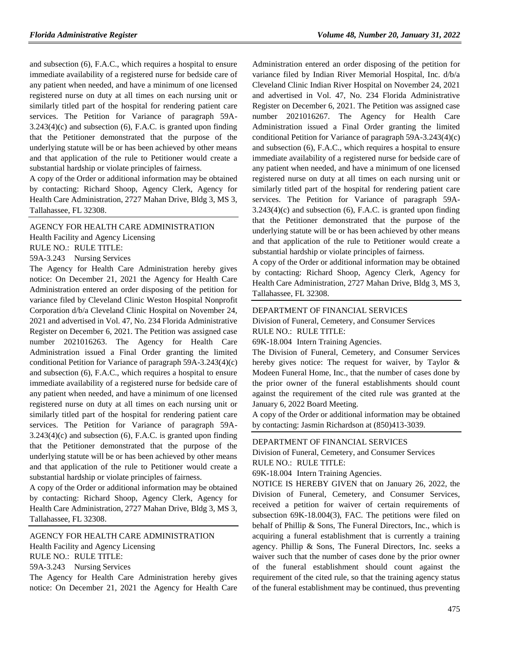and subsection (6), F.A.C., which requires a hospital to ensure immediate availability of a registered nurse for bedside care of any patient when needed, and have a minimum of one licensed registered nurse on duty at all times on each nursing unit or similarly titled part of the hospital for rendering patient care services. The Petition for Variance of paragraph 59A-3.243(4)(c) and subsection (6), F.A.C. is granted upon finding that the Petitioner demonstrated that the purpose of the underlying statute will be or has been achieved by other means and that application of the rule to Petitioner would create a substantial hardship or violate principles of fairness.

A copy of the Order or additional information may be obtained by contacting: Richard Shoop, Agency Clerk, Agency for Health Care Administration, 2727 Mahan Drive, Bldg 3, MS 3, Tallahassee, FL 32308.

### [AGENCY FOR HEALTH CARE ADMINISTRATION](https://www.flrules.org/gateway/department.asp?id=59)

[Health Facility and Agency Licensing](https://www.flrules.org/gateway/organization.asp?id=186)

RULE NO.: RULE TITLE:

[59A-3.243](https://www.flrules.org/gateway/ruleNo.asp?id=59A-3.243) Nursing Services

The Agency for Health Care Administration hereby gives notice: On December 21, 2021 the Agency for Health Care Administration entered an order disposing of the petition for variance filed by Cleveland Clinic Weston Hospital Nonprofit Corporation d/b/a Cleveland Clinic Hospital on November 24, 2021 and advertised in Vol. 47, No. 234 Florida Administrative Register on December 6, 2021. The Petition was assigned case number 2021016263. The Agency for Health Care Administration issued a Final Order granting the limited conditional Petition for Variance of paragraph 59A-3.243(4)(c) and subsection (6), F.A.C., which requires a hospital to ensure immediate availability of a registered nurse for bedside care of any patient when needed, and have a minimum of one licensed registered nurse on duty at all times on each nursing unit or similarly titled part of the hospital for rendering patient care services. The Petition for Variance of paragraph 59A-3.243(4)(c) and subsection (6), F.A.C. is granted upon finding that the Petitioner demonstrated that the purpose of the underlying statute will be or has been achieved by other means and that application of the rule to Petitioner would create a substantial hardship or violate principles of fairness.

A copy of the Order or additional information may be obtained by contacting: Richard Shoop, Agency Clerk, Agency for Health Care Administration, 2727 Mahan Drive, Bldg 3, MS 3, Tallahassee, FL 32308.

### [AGENCY FOR HEALTH CARE ADMINISTRATION](https://www.flrules.org/gateway/department.asp?id=59)

[Health Facility and Agency Licensing](https://www.flrules.org/gateway/organization.asp?id=186)

RULE NO.: RULE TITLE:

[59A-3.243](https://www.flrules.org/gateway/ruleNo.asp?id=59A-3.243) Nursing Services

The Agency for Health Care Administration hereby gives notice: On December 21, 2021 the Agency for Health Care Administration entered an order disposing of the petition for variance filed by Indian River Memorial Hospital, Inc. d/b/a Cleveland Clinic Indian River Hospital on November 24, 2021 and advertised in Vol. 47, No. 234 Florida Administrative Register on December 6, 2021. The Petition was assigned case number 2021016267. The Agency for Health Care Administration issued a Final Order granting the limited conditional Petition for Variance of paragraph 59A-3.243(4)(c) and subsection (6), F.A.C., which requires a hospital to ensure immediate availability of a registered nurse for bedside care of any patient when needed, and have a minimum of one licensed registered nurse on duty at all times on each nursing unit or similarly titled part of the hospital for rendering patient care services. The Petition for Variance of paragraph 59A- $3.243(4)(c)$  and subsection  $(6)$ , F.A.C. is granted upon finding that the Petitioner demonstrated that the purpose of the underlying statute will be or has been achieved by other means and that application of the rule to Petitioner would create a substantial hardship or violate principles of fairness.

A copy of the Order or additional information may be obtained by contacting: Richard Shoop, Agency Clerk, Agency for Health Care Administration, 2727 Mahan Drive, Bldg 3, MS 3, Tallahassee, FL 32308.

#### [DEPARTMENT OF FINANCIAL SERVICES](https://www.flrules.org/gateway/department.asp?id=69)

[Division of Funeral, Cemetery, and Consumer Services](https://www.flrules.org/gateway/organization.asp?id=369) RULE NO.: RULE TITLE:

[69K-18.004](https://www.flrules.org/gateway/ruleNo.asp?id=69K-18.004) Intern Training Agencies.

The Division of Funeral, Cemetery, and Consumer Services hereby gives notice: The request for waiver, by Taylor & Modeen Funeral Home, Inc., that the number of cases done by the prior owner of the funeral establishments should count against the requirement of the cited rule was granted at the January 6, 2022 Board Meeting.

A copy of the Order or additional information may be obtained by contacting: Jasmin Richardson at (850)413-3039.

#### [DEPARTMENT OF FINANCIAL SERVICES](https://www.flrules.org/gateway/department.asp?id=69)

[Division of Funeral, Cemetery, and Consumer Services](https://www.flrules.org/gateway/organization.asp?id=369) RULE NO.: RULE TITLE:

[69K-18.004](https://www.flrules.org/gateway/ruleNo.asp?id=69K-18.004) Intern Training Agencies.

NOTICE IS HEREBY GIVEN that on January 26, 2022, the Division of Funeral, Cemetery, and Consumer Services, received a petition for waiver of certain requirements of subsection 69K-18.004(3), FAC. The petitions were filed on behalf of Phillip & Sons, The Funeral Directors, Inc., which is acquiring a funeral establishment that is currently a training agency. Phillip & Sons, The Funeral Directors, Inc. seeks a waiver such that the number of cases done by the prior owner of the funeral establishment should count against the requirement of the cited rule, so that the training agency status of the funeral establishment may be continued, thus preventing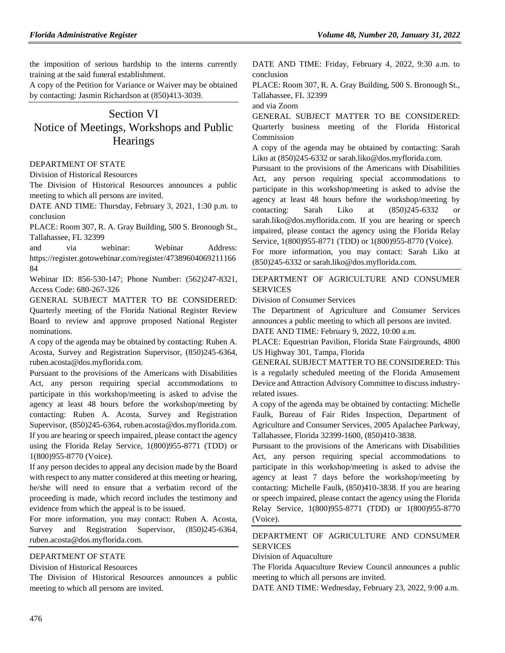the imposition of serious hardship to the interns currently training at the said funeral establishment.

A copy of the Petition for Variance or Waiver may be obtained by contacting: Jasmin Richardson at (850)413-3039.

# Section VI Notice of Meetings, Workshops and Public **Hearings**

#### [DEPARTMENT OF STATE](https://www.flrules.org/gateway/department.asp?id=1)

[Division of Historical Resources](https://www.flrules.org/gateway/organization.asp?id=1)

The Division of Historical Resources announces a public meeting to which all persons are invited.

DATE AND TIME: Thursday, February 3, 2021, 1:30 p.m. to conclusion

PLACE: Room 307, R. A. Gray Building, 500 S. Bronough St., Tallahassee, FL 32399

and via webinar: Webinar Address: https://register.gotowebinar.com/register/47389604069211166 84

Webinar ID: 856-530-147; Phone Number: (562)247-8321, Access Code: 680-267-326

GENERAL SUBJECT MATTER TO BE CONSIDERED: Quarterly meeting of the Florida National Register Review Board to review and approve proposed National Register nominations.

A copy of the agenda may be obtained by contacting: Ruben A. Acosta, Survey and Registration Supervisor, (850)245-6364, ruben.acosta@dos.myflorida.com.

Pursuant to the provisions of the Americans with Disabilities Act, any person requiring special accommodations to participate in this workshop/meeting is asked to advise the agency at least 48 hours before the workshop/meeting by contacting: Ruben A. Acosta, Survey and Registration Supervisor, (850)245-6364, ruben.acosta@dos.myflorida.com. If you are hearing or speech impaired, please contact the agency using the Florida Relay Service, 1(800)955-8771 (TDD) or 1(800)955-8770 (Voice).

If any person decides to appeal any decision made by the Board with respect to any matter considered at this meeting or hearing, he/she will need to ensure that a verbatim record of the proceeding is made, which record includes the testimony and evidence from which the appeal is to be issued.

For more information, you may contact: Ruben A. Acosta, Survey and Registration Supervisor, (850)245-6364, ruben.acosta@dos.myflorida.com.

### [DEPARTMENT OF STATE](https://www.flrules.org/gateway/department.asp?id=1)

[Division of Historical Resources](https://www.flrules.org/gateway/organization.asp?id=1)

The Division of Historical Resources announces a public meeting to which all persons are invited.

DATE AND TIME: Friday, February 4, 2022, 9:30 a.m. to conclusion

PLACE: Room 307, R. A. Gray Building, 500 S. Bronough St., Tallahassee, FL 32399

and via Zoom

GENERAL SUBJECT MATTER TO BE CONSIDERED: Quarterly business meeting of the Florida Historical Commission

A copy of the agenda may be obtained by contacting: Sarah Liko at (850)245-6332 or sarah.liko@dos.myflorida.com.

Pursuant to the provisions of the Americans with Disabilities Act, any person requiring special accommodations to participate in this workshop/meeting is asked to advise the agency at least 48 hours before the workshop/meeting by contacting: Sarah Liko at (850)245-6332 or sarah.liko@dos.myflorida.com. If you are hearing or speech impaired, please contact the agency using the Florida Relay Service, 1(800)955-8771 (TDD) or 1(800)955-8770 (Voice).

For more information, you may contact: Sarah Liko at (850)245-6332 or sarah.liko@dos.myflorida.com.

### [DEPARTMENT OF AGRICULTURE AND CONSUMER](https://www.flrules.org/gateway/department.asp?id=5)  [SERVICES](https://www.flrules.org/gateway/department.asp?id=5)

[Division of Consumer Services](https://www.flrules.org/gateway/organization.asp?id=170)

The Department of Agriculture and Consumer Services announces a public meeting to which all persons are invited.

DATE AND TIME: February 9, 2022, 10:00 a.m.

PLACE: Equestrian Pavilion, Florida State Fairgrounds, 4800 US Highway 301, Tampa, Florida

GENERAL SUBJECT MATTER TO BE CONSIDERED: This is a regularly scheduled meeting of the Florida Amusement Device and Attraction Advisory Committee to discuss industryrelated issues.

A copy of the agenda may be obtained by contacting: Michelle Faulk, Bureau of Fair Rides Inspection, Department of Agriculture and Consumer Services, 2005 Apalachee Parkway, Tallahassee, Florida 32399-1600, (850)410-3838.

Pursuant to the provisions of the Americans with Disabilities Act, any person requiring special accommodations to participate in this workshop/meeting is asked to advise the agency at least 7 days before the workshop/meeting by contacting: Michelle Faulk, (850)410-3838. If you are hearing or speech impaired, please contact the agency using the Florida Relay Service, 1(800)955-8771 (TDD) or 1(800)955-8770 (Voice).

### [DEPARTMENT OF AGRICULTURE AND CONSUMER](https://www.flrules.org/gateway/department.asp?id=5)  **[SERVICES](https://www.flrules.org/gateway/department.asp?id=5)**

[Division of Aquaculture](https://www.flrules.org/gateway/organization.asp?id=172)

The Florida Aquaculture Review Council announces a public meeting to which all persons are invited.

DATE AND TIME: Wednesday, February 23, 2022, 9:00 a.m.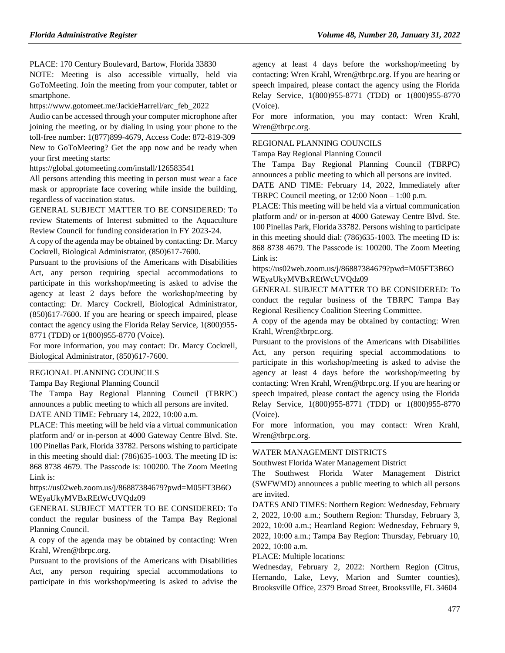PLACE: 170 Century Boulevard, Bartow, Florida 33830

NOTE: Meeting is also accessible virtually, held via GoToMeeting. Join the meeting from your computer, tablet or smartphone.

https://www.gotomeet.me/JackieHarrell/arc\_feb\_2022

Audio can be accessed through your computer microphone after joining the meeting, or by dialing in using your phone to the toll-free number: 1(877)899-4679, Access Code: 872-819-309 New to GoToMeeting? Get the app now and be ready when your first meeting starts:

https://global.gotomeeting.com/install/126583541

All persons attending this meeting in person must wear a face mask or appropriate face covering while inside the building, regardless of vaccination status.

GENERAL SUBJECT MATTER TO BE CONSIDERED: To review Statements of Interest submitted to the Aquaculture Review Council for funding consideration in FY 2023-24.

A copy of the agenda may be obtained by contacting: Dr. Marcy Cockrell, Biological Administrator, (850)617-7600.

Pursuant to the provisions of the Americans with Disabilities Act, any person requiring special accommodations to participate in this workshop/meeting is asked to advise the agency at least 2 days before the workshop/meeting by contacting: Dr. Marcy Cockrell, Biological Administrator, (850)617-7600. If you are hearing or speech impaired, please contact the agency using the Florida Relay Service, 1(800)955- 8771 (TDD) or 1(800)955-8770 (Voice).

For more information, you may contact: Dr. Marcy Cockrell, Biological Administrator, (850)617-7600.

#### [REGIONAL PLANNING COUNCILS](https://www.flrules.org/gateway/department.asp?id=29)

[Tampa Bay Regional Planning Council](https://www.flrules.org/gateway/organization.asp?id=64)

The Tampa Bay Regional Planning Council (TBRPC) announces a public meeting to which all persons are invited. DATE AND TIME: February 14, 2022, 10:00 a.m.

PLACE: This meeting will be held via a virtual communication platform and/ or in-person at 4000 Gateway Centre Blvd. Ste. 100 Pinellas Park, Florida 33782. Persons wishing to participate in this meeting should dial: (786)635-1003. The meeting ID is: 868 8738 4679. The Passcode is: 100200. The Zoom Meeting Link is:

https://us02web.zoom.us/j/86887384679?pwd=M05FT3B6O WEyaUkyMVBxREtWcUVQdz09

GENERAL SUBJECT MATTER TO BE CONSIDERED: To conduct the regular business of the Tampa Bay Regional Planning Council.

A copy of the agenda may be obtained by contacting: Wren Krahl, Wren@tbrpc.org.

Pursuant to the provisions of the Americans with Disabilities Act, any person requiring special accommodations to participate in this workshop/meeting is asked to advise the

agency at least 4 days before the workshop/meeting by contacting: Wren Krahl, Wren@tbrpc.org. If you are hearing or speech impaired, please contact the agency using the Florida Relay Service, 1(800)955-8771 (TDD) or 1(800)955-8770 (Voice).

For more information, you may contact: Wren Krahl, Wren@tbrpc.org.

#### [REGIONAL PLANNING COUNCILS](https://www.flrules.org/gateway/department.asp?id=29)

[Tampa Bay Regional Planning Council](https://www.flrules.org/gateway/organization.asp?id=64)

The Tampa Bay Regional Planning Council (TBRPC) announces a public meeting to which all persons are invited.

DATE AND TIME: February 14, 2022, Immediately after TBRPC Council meeting, or 12:00 Noon – 1:00 p.m.

PLACE: This meeting will be held via a virtual communication platform and/ or in-person at 4000 Gateway Centre Blvd. Ste. 100 Pinellas Park, Florida 33782. Persons wishing to participate in this meeting should dial: (786)635-1003. The meeting ID is: 868 8738 4679. The Passcode is: 100200. The Zoom Meeting Link is:

https://us02web.zoom.us/j/86887384679?pwd=M05FT3B6O WEyaUkyMVBxREtWcUVQdz09

GENERAL SUBJECT MATTER TO BE CONSIDERED: To conduct the regular business of the TBRPC Tampa Bay Regional Resiliency Coalition Steering Committee.

A copy of the agenda may be obtained by contacting: Wren Krahl, Wren@tbrpc.org.

Pursuant to the provisions of the Americans with Disabilities Act, any person requiring special accommodations to participate in this workshop/meeting is asked to advise the agency at least 4 days before the workshop/meeting by contacting: Wren Krahl, Wren@tbrpc.org. If you are hearing or speech impaired, please contact the agency using the Florida Relay Service, 1(800)955-8771 (TDD) or 1(800)955-8770 (Voice).

For more information, you may contact: Wren Krahl, Wren@tbrpc.org.

#### [WATER MANAGEMENT DISTRICTS](https://www.flrules.org/gateway/department.asp?id=40)

[Southwest Florida Water Management District](https://www.flrules.org/gateway/organization.asp?id=123)

The Southwest Florida Water Management District (SWFWMD) announces a public meeting to which all persons are invited.

DATES AND TIMES: Northern Region: Wednesday, February 2, 2022, 10:00 a.m.; Southern Region: Thursday, February 3, 2022, 10:00 a.m.; Heartland Region: Wednesday, February 9, 2022, 10:00 a.m.; Tampa Bay Region: Thursday, February 10, 2022, 10:00 a.m.

PLACE: Multiple locations:

Wednesday, February 2, 2022: Northern Region (Citrus, Hernando, Lake, Levy, Marion and Sumter counties), Brooksville Office, 2379 Broad Street, Brooksville, FL 34604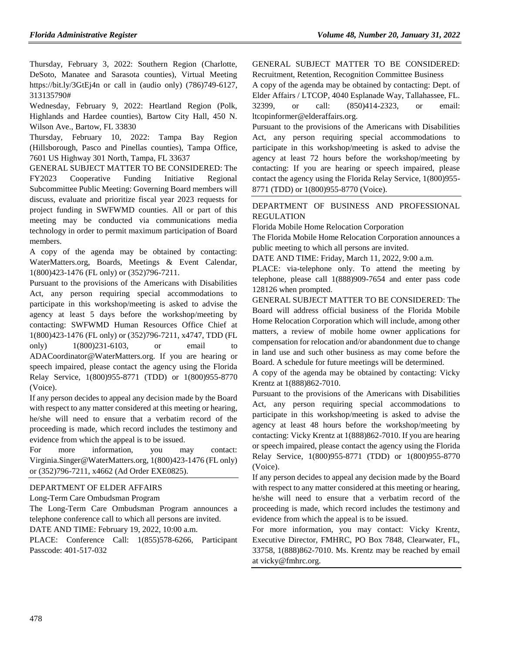Thursday, February 3, 2022: Southern Region (Charlotte, DeSoto, Manatee and Sarasota counties), Virtual Meeting https://bit.ly/3GtEj4n or call in (audio only) (786)749-6127, 313135790#

Wednesday, February 9, 2022: Heartland Region (Polk, Highlands and Hardee counties), Bartow City Hall, 450 N. Wilson Ave., Bartow, FL 33830

Thursday, February 10, 2022: Tampa Bay Region (Hillsborough, Pasco and Pinellas counties), Tampa Office, 7601 US Highway 301 North, Tampa, FL 33637

GENERAL SUBJECT MATTER TO BE CONSIDERED: The FY2023 Cooperative Funding Initiative Regional Subcommittee Public Meeting: Governing Board members will discuss, evaluate and prioritize fiscal year 2023 requests for project funding in SWFWMD counties. All or part of this meeting may be conducted via communications media technology in order to permit maximum participation of Board members.

A copy of the agenda may be obtained by contacting: WaterMatters.org, Boards, Meetings & Event Calendar, 1(800)423-1476 (FL only) or (352)796-7211.

Pursuant to the provisions of the Americans with Disabilities Act, any person requiring special accommodations to participate in this workshop/meeting is asked to advise the agency at least 5 days before the workshop/meeting by contacting: SWFWMD Human Resources Office Chief at 1(800)423-1476 (FL only) or (352)796-7211, x4747, TDD (FL only) 1(800)231-6103, or email to ADACoordinator@WaterMatters.org. If you are hearing or speech impaired, please contact the agency using the Florida Relay Service, 1(800)955-8771 (TDD) or 1(800)955-8770 (Voice).

If any person decides to appeal any decision made by the Board with respect to any matter considered at this meeting or hearing, he/she will need to ensure that a verbatim record of the proceeding is made, which record includes the testimony and evidence from which the appeal is to be issued.

For more information, you may contact: Virginia.Singer@WaterMatters.org, 1(800)423-1476 (FL only) or (352)796-7211, x4662 (Ad Order EXE0825).

### [DEPARTMENT OF ELDER AFFAIRS](https://www.flrules.org/gateway/department.asp?id=58)

[Long-Term Care Ombudsman Program](https://www.flrules.org/gateway/organization.asp?id=184)

The Long-Term Care Ombudsman Program announces a telephone conference call to which all persons are invited.

DATE AND TIME: February 19, 2022, 10:00 a.m.

PLACE: Conference Call: 1(855)578-6266, Participant Passcode: 401-517-032

GENERAL SUBJECT MATTER TO BE CONSIDERED: Recruitment, Retention, Recognition Committee Business

A copy of the agenda may be obtained by contacting: Dept. of Elder Affairs / LTCOP, 4040 Esplanade Way, Tallahassee, FL. 32399, or call: (850)414-2323, or email: ltcopinformer@elderaffairs.org.

Pursuant to the provisions of the Americans with Disabilities Act, any person requiring special accommodations to participate in this workshop/meeting is asked to advise the agency at least 72 hours before the workshop/meeting by contacting: If you are hearing or speech impaired, please contact the agency using the Florida Relay Service, 1(800)955- 8771 (TDD) or 1(800)955-8770 (Voice).

### [DEPARTMENT OF BUSINESS AND PROFESSIONAL](https://www.flrules.org/gateway/department.asp?id=61)  [REGULATION](https://www.flrules.org/gateway/department.asp?id=61)

[Florida Mobile Home Relocation Corporation](https://www.flrules.org/gateway/organization.asp?id=505)

The Florida Mobile Home Relocation Corporation announces a public meeting to which all persons are invited.

DATE AND TIME: Friday, March 11, 2022, 9:00 a.m.

PLACE: via-telephone only. To attend the meeting by telephone, please call 1(888)909-7654 and enter pass code 128126 when prompted.

GENERAL SUBJECT MATTER TO BE CONSIDERED: The Board will address official business of the Florida Mobile Home Relocation Corporation which will include, among other matters, a review of mobile home owner applications for compensation for relocation and/or abandonment due to change in land use and such other business as may come before the Board. A schedule for future meetings will be determined.

A copy of the agenda may be obtained by contacting: Vicky Krentz at 1(888)862-7010.

Pursuant to the provisions of the Americans with Disabilities Act, any person requiring special accommodations to participate in this workshop/meeting is asked to advise the agency at least 48 hours before the workshop/meeting by contacting: Vicky Krentz at 1(888)862-7010. If you are hearing or speech impaired, please contact the agency using the Florida Relay Service, 1(800)955-8771 (TDD) or 1(800)955-8770 (Voice).

If any person decides to appeal any decision made by the Board with respect to any matter considered at this meeting or hearing, he/she will need to ensure that a verbatim record of the proceeding is made, which record includes the testimony and evidence from which the appeal is to be issued.

For more information, you may contact: Vicky Krentz, Executive Director, FMHRC, PO Box 7848, Clearwater, FL, 33758, 1(888)862-7010. Ms. Krentz may be reached by email at vicky@fmhrc.org.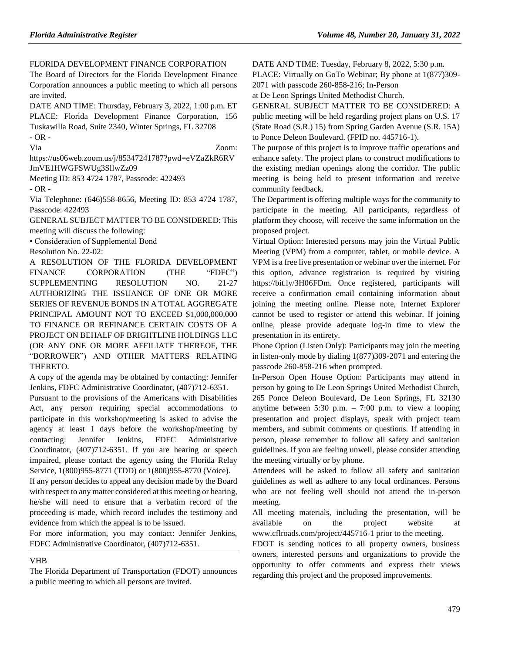[FLORIDA DEVELOPMENT FINANCE CORPORATION](https://www.flrules.org/gateway/organization.asp?id=941)

The Board of Directors for the Florida Development Finance Corporation announces a public meeting to which all persons are invited.

DATE AND TIME: Thursday, February 3, 2022, 1:00 p.m. ET PLACE: Florida Development Finance Corporation, 156 Tuskawilla Road, Suite 2340, Winter Springs, FL 32708 - OR -

Via Zoom:

https://us06web.zoom.us/j/85347241787?pwd=eVZaZkR6RV JmVE1HWGFSWUg3SllwZz09

Meeting ID: 853 4724 1787, Passcode: 422493

- OR -

Via Telephone: (646)558-8656, Meeting ID: 853 4724 1787, Passcode: 422493

GENERAL SUBJECT MATTER TO BE CONSIDERED: This meeting will discuss the following:

• Consideration of Supplemental Bond

Resolution No. 22-02:

A RESOLUTION OF THE FLORIDA DEVELOPMENT FINANCE CORPORATION (THE "FDFC") SUPPLEMENTING RESOLUTION NO. 21-27 AUTHORIZING THE ISSUANCE OF ONE OR MORE SERIES OF REVENUE BONDS IN A TOTAL AGGREGATE PRINCIPAL AMOUNT NOT TO EXCEED \$1,000,000,000 TO FINANCE OR REFINANCE CERTAIN COSTS OF A PROJECT ON BEHALF OF BRIGHTLINE HOLDINGS LLC (OR ANY ONE OR MORE AFFILIATE THEREOF, THE "BORROWER") AND OTHER MATTERS RELATING THERETO.

A copy of the agenda may be obtained by contacting: Jennifer Jenkins, FDFC Administrative Coordinator, (407)712-6351.

Pursuant to the provisions of the Americans with Disabilities Act, any person requiring special accommodations to participate in this workshop/meeting is asked to advise the agency at least 1 days before the workshop/meeting by contacting: Jennifer Jenkins, FDFC Administrative Coordinator, (407)712-6351. If you are hearing or speech impaired, please contact the agency using the Florida Relay Service, 1(800)955-8771 (TDD) or 1(800)955-8770 (Voice).

If any person decides to appeal any decision made by the Board with respect to any matter considered at this meeting or hearing, he/she will need to ensure that a verbatim record of the proceeding is made, which record includes the testimony and evidence from which the appeal is to be issued.

For more information, you may contact: Jennifer Jenkins, FDFC Administrative Coordinator, (407)712-6351.

### [VHB](https://www.flrules.org/gateway/organization.asp?id=1207)

The Florida Department of Transportation (FDOT) announces a public meeting to which all persons are invited.

DATE AND TIME: Tuesday, February 8, 2022, 5:30 p.m.

PLACE: Virtually on GoTo Webinar; By phone at 1(877)309-

2071 with passcode 260-858-216; In-Person

at De Leon Springs United Methodist Church.

GENERAL SUBJECT MATTER TO BE CONSIDERED: A public meeting will be held regarding project plans on U.S. 17 (State Road (S.R.) 15) from Spring Garden Avenue (S.R. 15A) to Ponce Deleon Boulevard. (FPID no. 445716-1).

The purpose of this project is to improve traffic operations and enhance safety. The project plans to construct modifications to the existing median openings along the corridor. The public meeting is being held to present information and receive community feedback.

The Department is offering multiple ways for the community to participate in the meeting. All participants, regardless of platform they choose, will receive the same information on the proposed project.

Virtual Option: Interested persons may join the Virtual Public Meeting (VPM) from a computer, tablet, or mobile device. A VPM is a free live presentation or webinar over the internet. For this option, advance registration is required by visiting https://bit.ly/3H06FDm. Once registered, participants will receive a confirmation email containing information about joining the meeting online. Please note, Internet Explorer cannot be used to register or attend this webinar. If joining online, please provide adequate log-in time to view the presentation in its entirety.

Phone Option (Listen Only): Participants may join the meeting in listen-only mode by dialing 1(877)309-2071 and entering the passcode 260-858-216 when prompted.

In-Person Open House Option: Participants may attend in person by going to De Leon Springs United Methodist Church, 265 Ponce Deleon Boulevard, De Leon Springs, FL 32130 anytime between 5:30 p.m.  $-7:00$  p.m. to view a looping presentation and project displays, speak with project team members, and submit comments or questions. If attending in person, please remember to follow all safety and sanitation guidelines. If you are feeling unwell, please consider attending the meeting virtually or by phone.

Attendees will be asked to follow all safety and sanitation guidelines as well as adhere to any local ordinances. Persons who are not feeling well should not attend the in-person meeting.

All meeting materials, including the presentation, will be available on the project website at www.cflroads.com/project/445716-1 prior to the meeting.

FDOT is sending notices to all property owners, business owners, interested persons and organizations to provide the opportunity to offer comments and express their views regarding this project and the proposed improvements.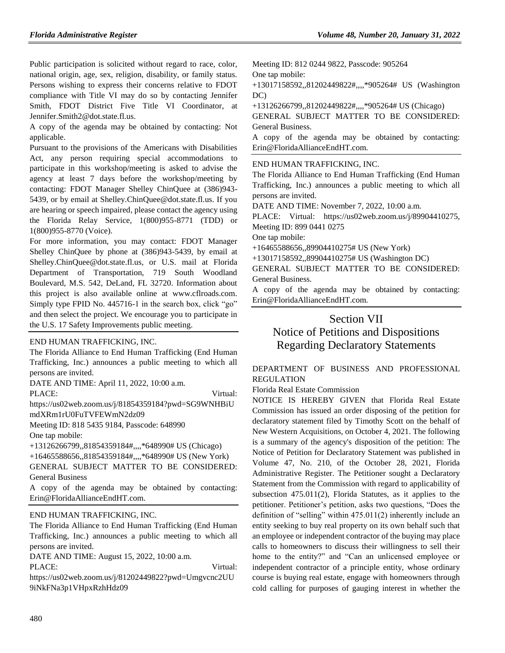Public participation is solicited without regard to race, color, national origin, age, sex, religion, disability, or family status. Persons wishing to express their concerns relative to FDOT compliance with Title VI may do so by contacting Jennifer Smith, FDOT District Five Title VI Coordinator, at Jennifer.Smith2@dot.state.fl.us.

A copy of the agenda may be obtained by contacting: Not applicable.

Pursuant to the provisions of the Americans with Disabilities Act, any person requiring special accommodations to participate in this workshop/meeting is asked to advise the agency at least 7 days before the workshop/meeting by contacting: FDOT Manager Shelley ChinQuee at (386)943- 5439, or by email at Shelley.ChinQuee@dot.state.fl.us. If you are hearing or speech impaired, please contact the agency using the Florida Relay Service, 1(800)955-8771 (TDD) or 1(800)955-8770 (Voice).

For more information, you may contact: FDOT Manager Shelley ChinQuee by phone at (386)943-5439, by email at Shelley.ChinQuee@dot.state.fl.us, or U.S. mail at Florida Department of Transportation, 719 South Woodland Boulevard, M.S. 542, DeLand, FL 32720. Information about this project is also available online at www.cflroads.com. Simply type FPID No. 445716-1 in the search box, click "go" and then select the project. We encourage you to participate in the U.S. 17 Safety Improvements public meeting.

#### [END HUMAN TRAFFICKING, INC.](https://www.flrules.org/gateway/organization.asp?id=1381)

The Florida Alliance to End Human Trafficking (End Human Trafficking, Inc.) announces a public meeting to which all persons are invited.

DATE AND TIME: April 11, 2022, 10:00 a.m.

PLACE: Virtual:

https://us02web.zoom.us/j/81854359184?pwd=SG9WNHBiU mdXRm1rU0FuTVFEWmN2dz09

Meeting ID: 818 5435 9184, Passcode: 648990 One tap mobile:

+13126266799,,81854359184#,,,,\*648990# US (Chicago) +16465588656,,81854359184#,,,,\*648990# US (New York) GENERAL SUBJECT MATTER TO BE CONSIDERED: General Business

A copy of the agenda may be obtained by contacting: Erin@FloridaAllianceEndHT.com.

#### [END HUMAN TRAFFICKING, INC.](https://www.flrules.org/gateway/organization.asp?id=1381)

The Florida Alliance to End Human Trafficking (End Human Trafficking, Inc.) announces a public meeting to which all persons are invited.

DATE AND TIME: August 15, 2022, 10:00 a.m.

PLACE: Virtual:

https://us02web.zoom.us/j/81202449822?pwd=Umgvcnc2UU 9iNkFNa3p1VHpxRzhHdz09

Meeting ID: 812 0244 9822, Passcode: 905264 One tap mobile:

+13017158592,,81202449822#,,,,\*905264# US (Washington DC)

+13126266799,,81202449822#,,,,\*905264# US (Chicago)

GENERAL SUBJECT MATTER TO BE CONSIDERED: General Business.

A copy of the agenda may be obtained by contacting: Erin@FloridaAllianceEndHT.com.

[END HUMAN TRAFFICKING, INC.](https://www.flrules.org/gateway/organization.asp?id=1381)

The Florida Alliance to End Human Trafficking (End Human Trafficking, Inc.) announces a public meeting to which all persons are invited.

DATE AND TIME: November 7, 2022, 10:00 a.m.

PLACE: Virtual: https://us02web.zoom.us/j/89904410275, Meeting ID: 899 0441 0275

One tap mobile:

+16465588656,,89904410275# US (New York)

+13017158592,,89904410275# US (Washington DC)

GENERAL SUBJECT MATTER TO BE CONSIDERED: General Business.

A copy of the agenda may be obtained by contacting: Erin@FloridaAllianceEndHT.com.

## Section VII

# Notice of Petitions and Dispositions Regarding Declaratory Statements

### [DEPARTMENT OF BUSINESS AND PROFESSIONAL](https://www.flrules.org/gateway/department.asp?id=61)  [REGULATION](https://www.flrules.org/gateway/department.asp?id=61)

[Florida Real Estate Commission](https://www.flrules.org/gateway/organization.asp?id=283)

NOTICE IS HEREBY GIVEN that Florida Real Estate Commission has issued an order disposing of the petition for declaratory statement filed by Timothy Scott on the behalf of New Western Acquisitions, on October 4, 2021. The following is a summary of the agency's disposition of the petition: The Notice of Petition for Declaratory Statement was published in Volume 47, No. 210, of the October 28, 2021, Florida Administrative Register. The Petitioner sought a Declaratory Statement from the Commission with regard to applicability of subsection 475.011(2), Florida Statutes, as it applies to the petitioner. Petitioner's petition, asks two questions, "Does the definition of "selling" within 475.011(2) inherently include an entity seeking to buy real property on its own behalf such that an employee or independent contractor of the buying may place calls to homeowners to discuss their willingness to sell their home to the entity?" and "Can an unlicensed employee or independent contractor of a principle entity, whose ordinary course is buying real estate, engage with homeowners through cold calling for purposes of gauging interest in whether the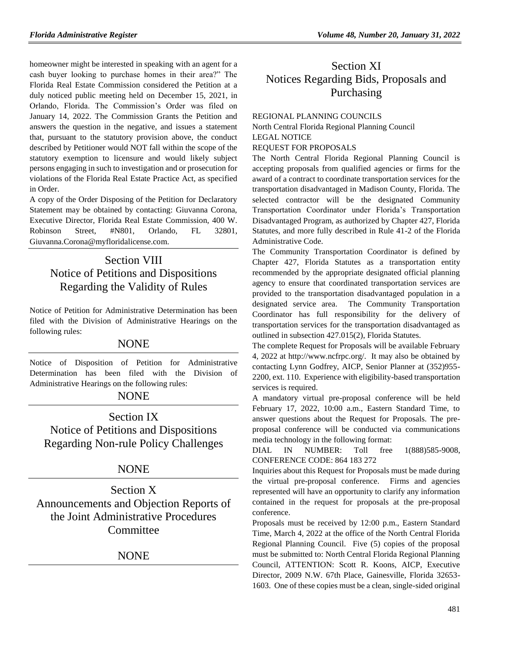homeowner might be interested in speaking with an agent for a cash buyer looking to purchase homes in their area?" The Florida Real Estate Commission considered the Petition at a duly noticed public meeting held on December 15, 2021, in Orlando, Florida. The Commission's Order was filed on January 14, 2022. The Commission Grants the Petition and answers the question in the negative, and issues a statement that, pursuant to the statutory provision above, the conduct described by Petitioner would NOT fall within the scope of the statutory exemption to licensure and would likely subject persons engaging in such to investigation and or prosecution for violations of the Florida Real Estate Practice Act, as specified in Order.

A copy of the Order Disposing of the Petition for Declaratory Statement may be obtained by contacting: Giuvanna Corona, Executive Director, Florida Real Estate Commission, 400 W. Robinson Street, #N801, Orlando, FL 32801, Giuvanna.Corona@myfloridalicense.com.

# Section VIII Notice of Petitions and Dispositions Regarding the Validity of Rules

Notice of Petition for Administrative Determination has been filed with the Division of Administrative Hearings on the following rules:

## NONE

Notice of Disposition of Petition for Administrative Determination has been filed with the Division of Administrative Hearings on the following rules:

## NONE

Section IX Notice of Petitions and Dispositions Regarding Non-rule Policy Challenges

## NONE

Section X Announcements and Objection Reports of the Joint Administrative Procedures **Committee** 

## NONE

# Section XI Notices Regarding Bids, Proposals and Purchasing

### [REGIONAL PLANNING COUNCILS](https://www.flrules.org/gateway/department.asp?id=29)

[North Central Florida Regional Planning Council](https://www.flrules.org/gateway/organization.asp?id=59) LEGAL NOTICE REQUEST FOR PROPOSALS

The North Central Florida Regional Planning Council is accepting proposals from qualified agencies or firms for the award of a contract to coordinate transportation services for the transportation disadvantaged in Madison County, Florida. The selected contractor will be the designated Community Transportation Coordinator under Florida's Transportation Disadvantaged Program, as authorized by Chapter 427, Florida Statutes, and more fully described in Rule 41-2 of the Florida Administrative Code.

The Community Transportation Coordinator is defined by Chapter 427, Florida Statutes as a transportation entity recommended by the appropriate designated official planning agency to ensure that coordinated transportation services are provided to the transportation disadvantaged population in a designated service area. The Community Transportation Coordinator has full responsibility for the delivery of transportation services for the transportation disadvantaged as outlined in subsection 427.015(2), Florida Statutes.

The complete Request for Proposals will be available February 4, 2022 at [http://www.ncfrpc.org/.](http://www.ncfrpc.org/) It may also be obtained by contacting Lynn Godfrey, AICP, Senior Planner at (352)955- 2200, ext. 110. Experience with eligibility-based transportation services is required.

A mandatory virtual pre-proposal conference will be held February 17, 2022, 10:00 a.m., Eastern Standard Time, to answer questions about the Request for Proposals. The preproposal conference will be conducted via communications media technology in the following format:

DIAL IN NUMBER: Toll free 1(888)585-9008, CONFERENCE CODE: 864 183 272

Inquiries about this Request for Proposals must be made during the virtual pre-proposal conference. Firms and agencies represented will have an opportunity to clarify any information contained in the request for proposals at the pre-proposal conference.

Proposals must be received by 12:00 p.m., Eastern Standard Time, March 4, 2022 at the office of the North Central Florida Regional Planning Council. Five (5) copies of the proposal must be submitted to: North Central Florida Regional Planning Council, ATTENTION: Scott R. Koons, AICP, Executive Director, 2009 N.W. 67th Place, Gainesville, Florida 32653- 1603. One of these copies must be a clean, single-sided original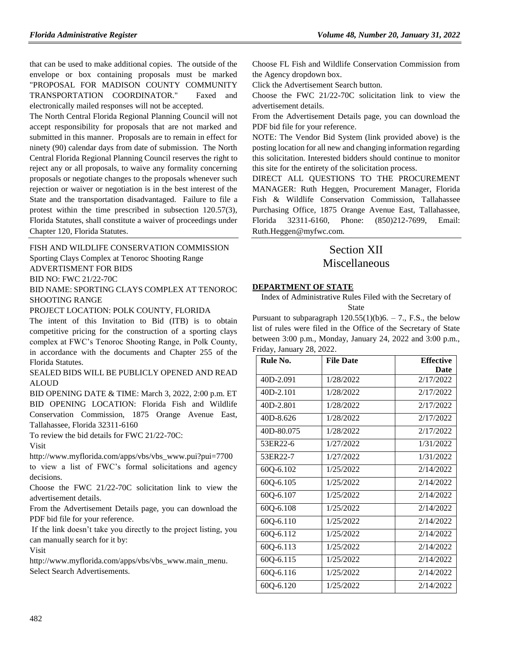that can be used to make additional copies. The outside of the envelope or box containing proposals must be marked "PROPOSAL FOR MADISON COUNTY COMMUNITY TRANSPORTATION COORDINATOR." Faxed and electronically mailed responses will not be accepted.

The North Central Florida Regional Planning Council will not accept responsibility for proposals that are not marked and submitted in this manner. Proposals are to remain in effect for ninety (90) calendar days from date of submission. The North Central Florida Regional Planning Council reserves the right to reject any or all proposals, to waive any formality concerning proposals or negotiate changes to the proposals whenever such rejection or waiver or negotiation is in the best interest of the State and the transportation disadvantaged. Failure to file a protest within the time prescribed in subsection 120.57(3), Florida Statutes, shall constitute a waiver of proceedings under Chapter 120, Florida Statutes.

#### FISH AND [WILDLIFE CONSERVATION COMMISSION](https://www.flrules.org/gateway/department.asp?id=68)

#### Sporting Clays Complex at Tenoroc Shooting Range

ADVERTISMENT FOR BIDS

BID NO: FWC 21/22-70C

BID NAME: SPORTING CLAYS COMPLEX AT TENOROC SHOOTING RANGE

#### PROJECT LOCATION: POLK COUNTY, FLORIDA

The intent of this Invitation to Bid (ITB) is to obtain competitive pricing for the construction of a sporting clays complex at FWC's Tenoroc Shooting Range, in Polk County, in accordance with the documents and Chapter 255 of the Florida Statutes.

SEALED BIDS WILL BE PUBLICLY OPENED AND READ ALOUD

BID OPENING DATE & TIME: March 3, 2022, 2:00 p.m. ET BID OPENING LOCATION: Florida Fish and Wildlife Conservation Commission, 1875 Orange Avenue East, Tallahassee, Florida 32311-6160

To review the bid details for FWC 21/22-70C:

Visit

[http://www.myflorida.com/apps/vbs/vbs\\_www.pui?pui=7700](http://www.myflorida.com/apps/vbs/vbs_www.pui?pui=7700)

to view a list of FWC's formal solicitations and agency decisions.

Choose the FWC 21/22-70C solicitation link to view the advertisement details.

From the Advertisement Details page, you can download the PDF bid file for your reference.

If the link doesn't take you directly to the project listing, you can manually search for it by:

Visit

[http://www.myflorida.com/apps/vbs/vbs\\_www.main\\_menu.](http://www.myflorida.com/apps/vbs/vbs_www.main_menu) Select Search Advertisements.

Choose FL Fish and Wildlife Conservation Commission from the Agency dropdown box.

Click the Advertisement Search button.

Choose the FWC 21/22-70C solicitation link to view the advertisement details.

From the Advertisement Details page, you can download the PDF bid file for your reference.

NOTE: The Vendor Bid System (link provided above) is the posting location for all new and changing information regarding this solicitation. Interested bidders should continue to monitor this site for the entirety of the solicitation process.

DIRECT ALL QUESTIONS TO THE PROCUREMENT MANAGER: Ruth Heggen, Procurement Manager, Florida Fish & Wildlife Conservation Commission, Tallahassee Purchasing Office, 1875 Orange Avenue East, Tallahassee, Florida 32311-6160, Phone: (850)212-7699, Email: Ruth.Heggen@myfwc.com.

# Section XII Miscellaneous

#### **[DEPARTMENT OF STATE](https://www.flrules.org/gateway/department.asp?id=1)**

Index of Administrative Rules Filed with the Secretary of State

Pursuant to subparagraph  $120.55(1)(b)6. - 7$ ., F.S., the below list of rules were filed in the Office of the Secretary of State between 3:00 p.m., Monday, January 24, 2022 and 3:00 p.m., Friday, January 28, 2022.

| Rule No.   | <b>File Date</b> | <b>Effective</b> |
|------------|------------------|------------------|
|            |                  | <b>Date</b>      |
| 40D-2.091  | 1/28/2022        | 2/17/2022        |
| 40D-2.101  | 1/28/2022        | 2/17/2022        |
| 40D-2.801  | 1/28/2022        | 2/17/2022        |
| 40D-8.626  | 1/28/2022        | 2/17/2022        |
| 40D-80.075 | 1/28/2022        | 2/17/2022        |
| 53ER22-6   | 1/27/2022        | 1/31/2022        |
| 53ER22-7   | 1/27/2022        | 1/31/2022        |
| 60Q-6.102  | 1/25/2022        | 2/14/2022        |
| 60Q-6.105  | 1/25/2022        | 2/14/2022        |
| 60Q-6.107  | 1/25/2022        | 2/14/2022        |
| 60Q-6.108  | 1/25/2022        | 2/14/2022        |
| 60Q-6.110  | 1/25/2022        | 2/14/2022        |
| 60Q-6.112  | 1/25/2022        | 2/14/2022        |
| 60Q-6.113  | 1/25/2022        | 2/14/2022        |
| 60Q-6.115  | 1/25/2022        | 2/14/2022        |
| 60Q-6.116  | 1/25/2022        | 2/14/2022        |
| 60Q-6.120  | 1/25/2022        | 2/14/2022        |